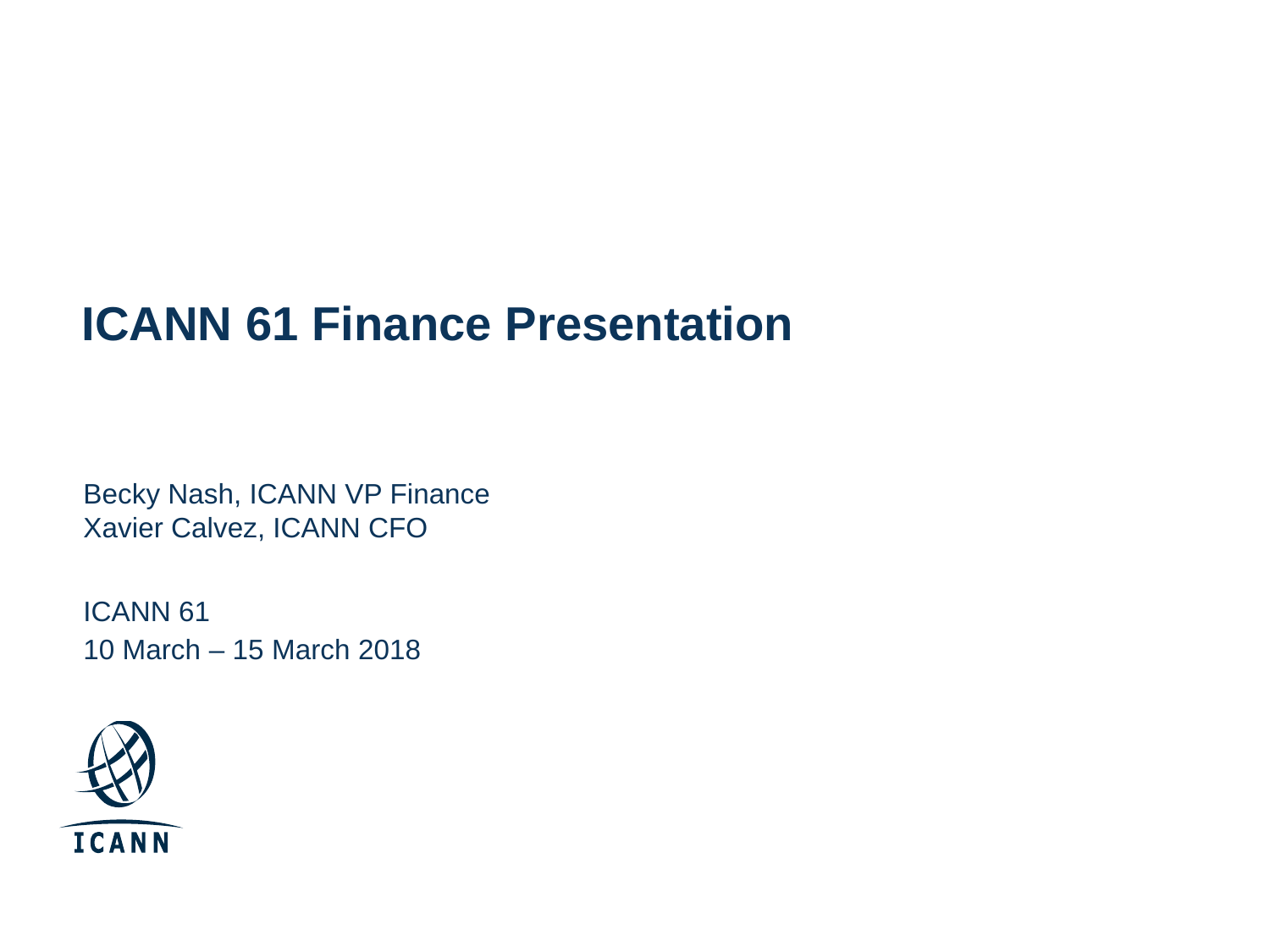## **ICANN 61 Finance Presentation**

Becky Nash, ICANN VP Finance Xavier Calvez, ICANN CFO

ICANN 61 10 March – 15 March 2018

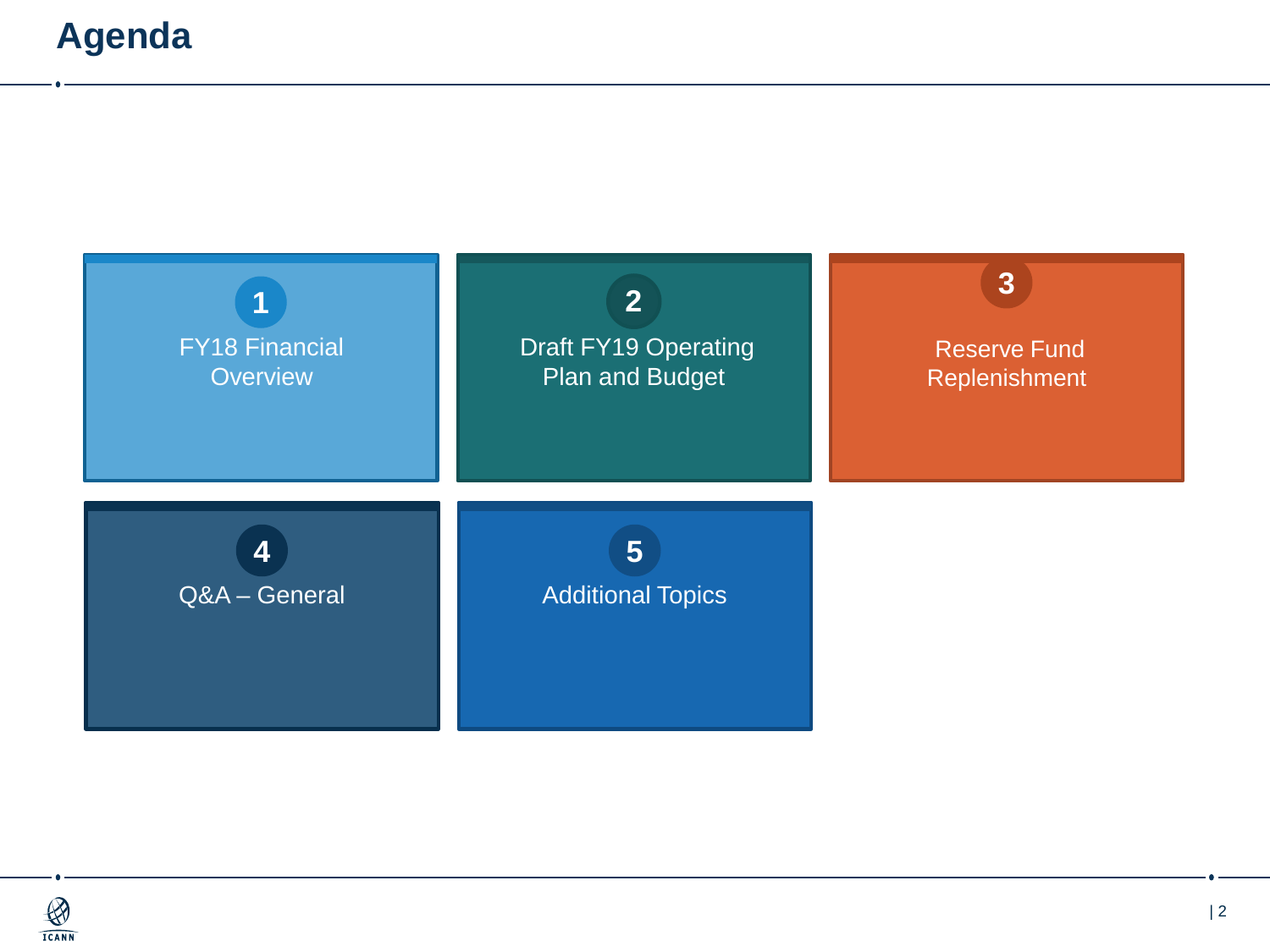### **Agenda**

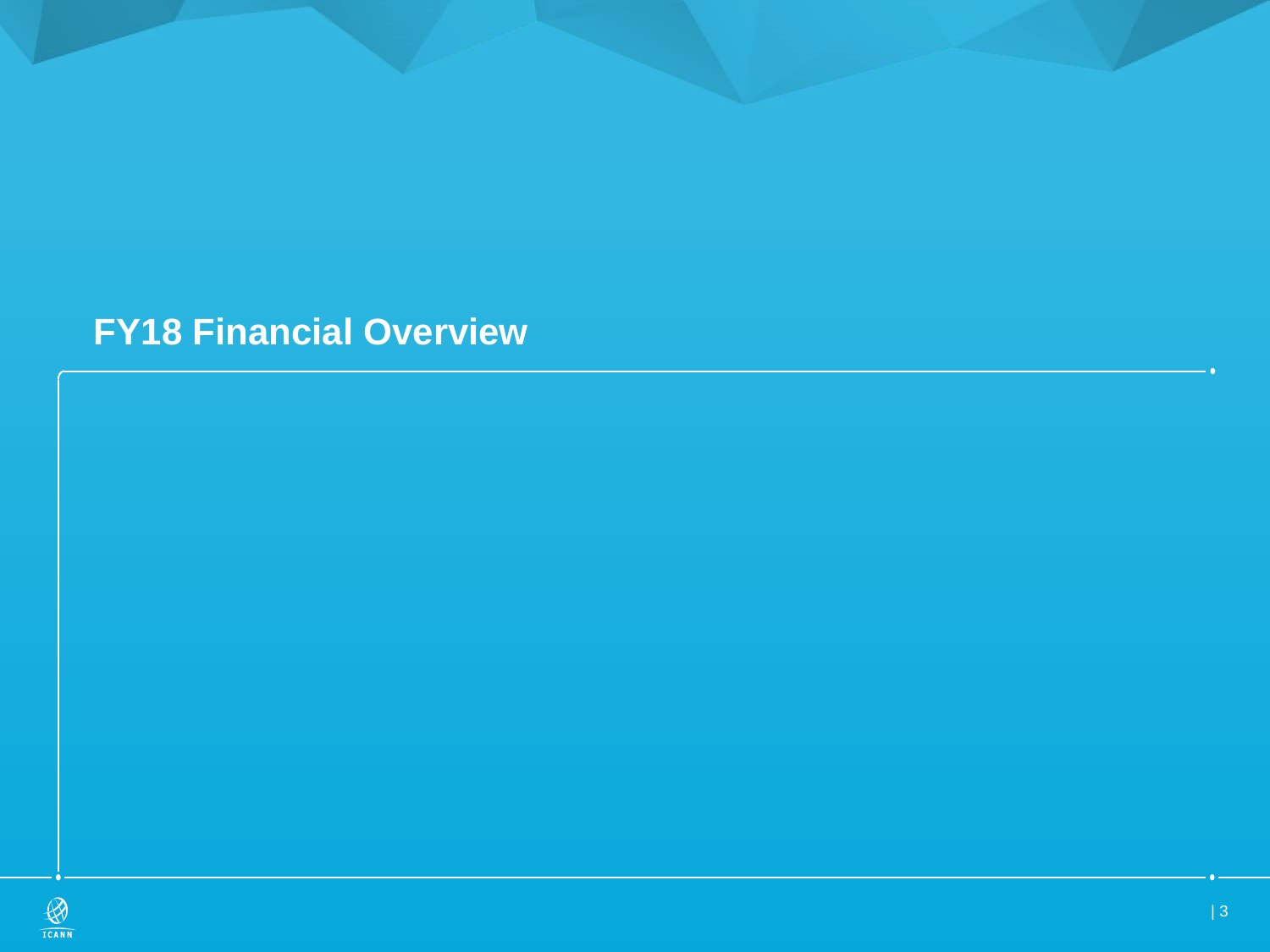## **FY18 Financial Overview**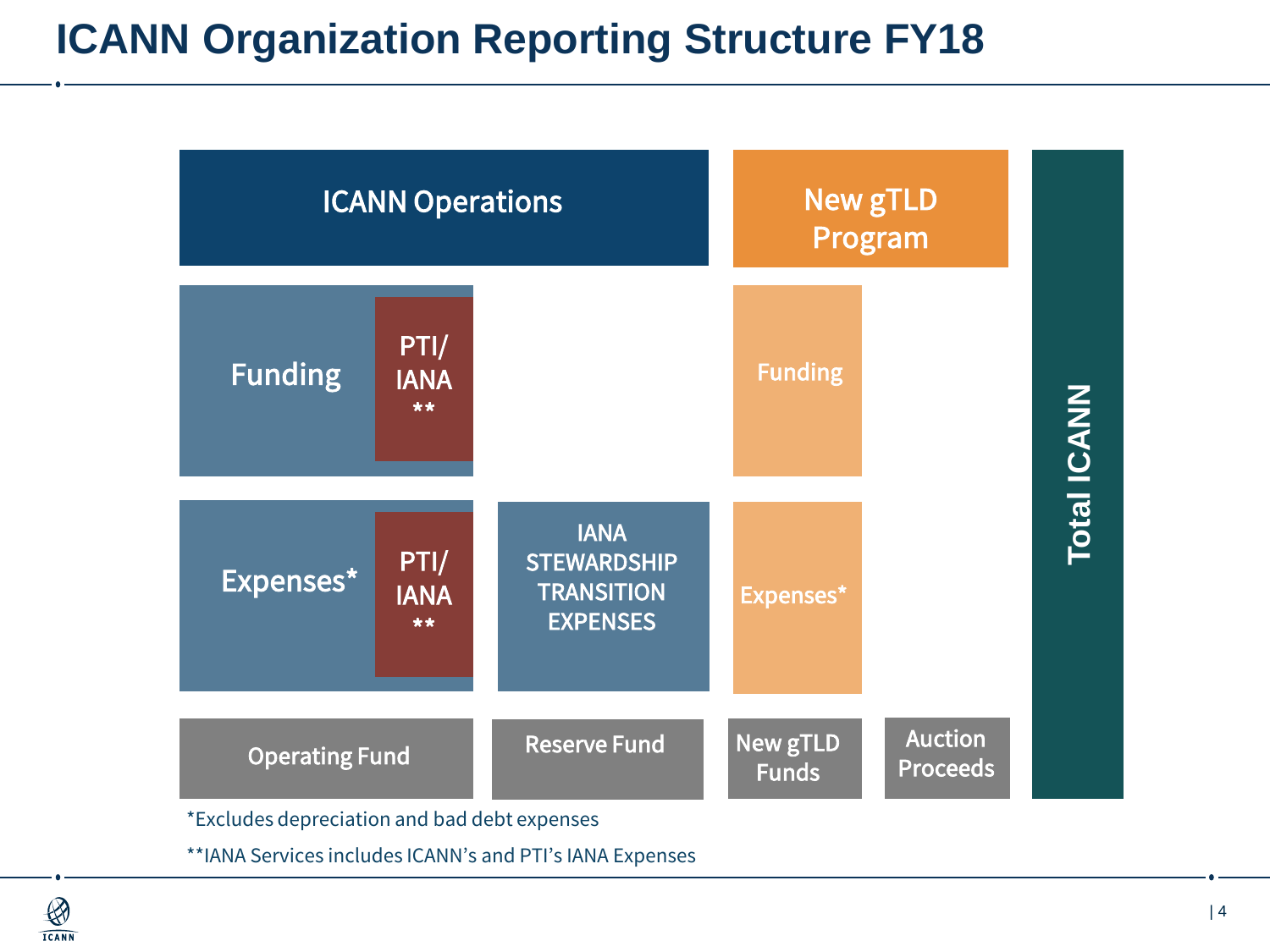## **ICANN Organization Reporting Structure FY18**

| <b>ICANN Operations</b> |                             | <b>New gTLD</b><br>Program                                                |                                 |                                   |                    |
|-------------------------|-----------------------------|---------------------------------------------------------------------------|---------------------------------|-----------------------------------|--------------------|
| <b>Funding</b>          | PTI/<br><b>IANA</b><br>**   |                                                                           | <b>Funding</b>                  |                                   | <b>Total ICANN</b> |
| Expenses*               | PTI/<br><b>IANA</b><br>$**$ | <b>IANA</b><br><b>STEWARDSHIP</b><br><b>TRANSITION</b><br><b>EXPENSES</b> | Expenses*                       |                                   |                    |
| <b>Operating Fund</b>   |                             | <b>Reserve Fund</b>                                                       | <b>New gTLD</b><br><b>Funds</b> | <b>Auction</b><br><b>Proceeds</b> |                    |

\*Excludes depreciation and bad debt expenses

\*\*IANA Services includes ICANN's and PTI's IANA Expenses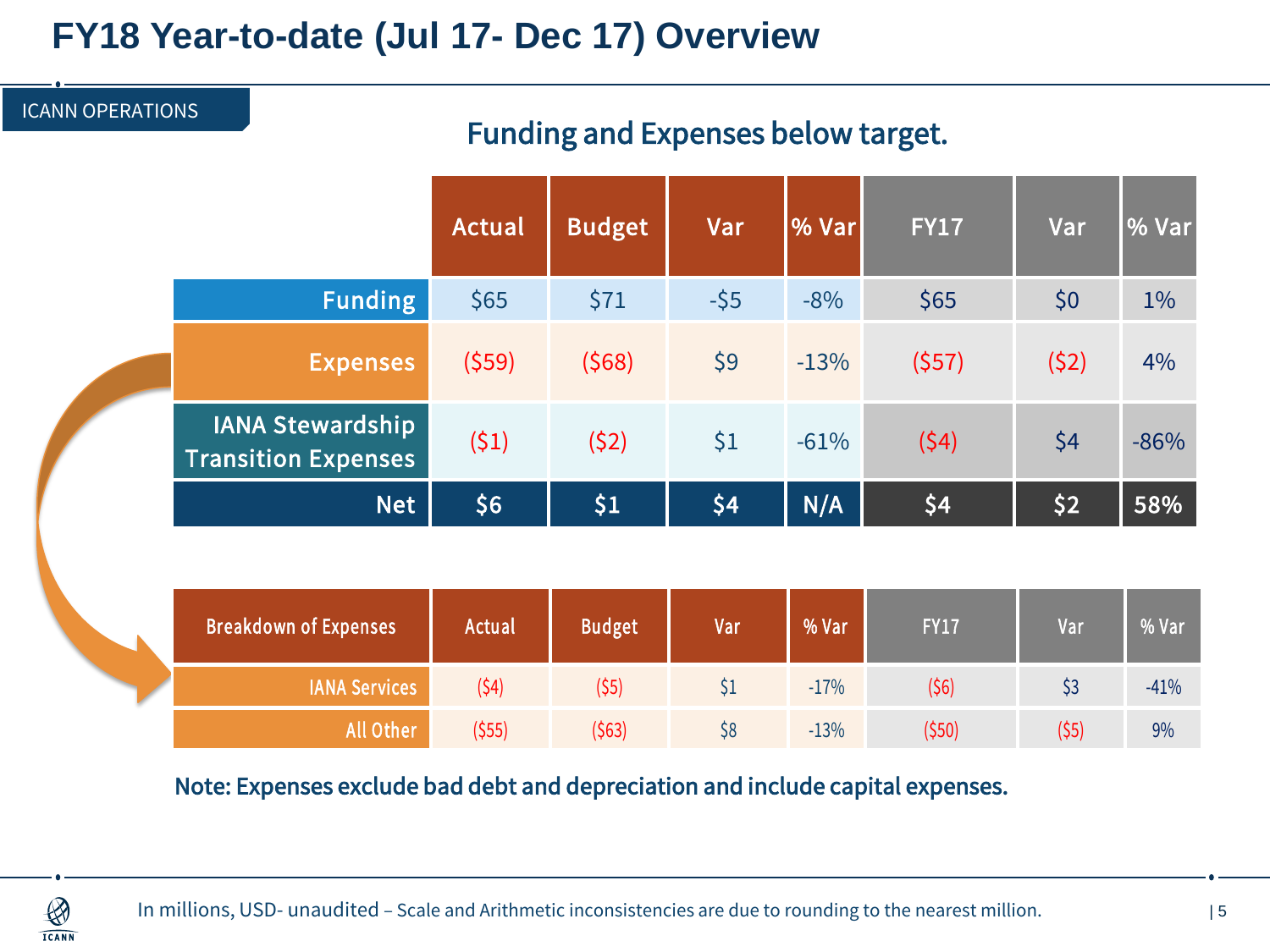### **FY18 Year-to-date (Jul 17- Dec 17) Overview**

# Funding and Expenses below target. Actual Budget Var % Var FY17 Var % Var **Funding**  $\begin{array}{|l}\n\sqrt{55} \\
\sqrt{571} \\
\sqrt{55} \\
\sqrt{571} \\
\sqrt{571} \\
\sqrt{571} \\
\sqrt{571} \\
\sqrt{571} \\
\sqrt{571} \\
\sqrt{571} \\
\sqrt{571} \\
\sqrt{571} \\
\sqrt{571} \\
\sqrt{571} \\
\sqrt{571} \\
\sqrt{571} \\
\sqrt{571} \\
\sqrt{571} \\
\sqrt{571} \\
\sqrt{571} \\
\sqrt{571} \\
\sqrt{571} \\
\sqrt{571} \\
\sqrt{571} \\
\sqrt{571} \\
\sqrt{$ Expenses (\$59) (\$68) \$9 -13% (\$57) (\$2) 4% IANA Stewardship Transition Expenses (\$1) (\$2)  $$1 \quad -61\%$  (\$4)  $$4 \quad -86\%$ Net | \$6 | \$1 | \$4 || N/A | \$4 || \$2 || 58% **IANA Services** (\$4) (\$5) \$1 -17% (\$6) \$3 -41% Breakdown of Expenses | Actual | Budget | Var | % Var | FY17 | Var | % Var

Note: Expenses exclude bad debt and depreciation and include capital expenses.

All Other (\$55) (\$63) \$8 -13% (\$50) (\$5) 9%



ICANN OPERATIONS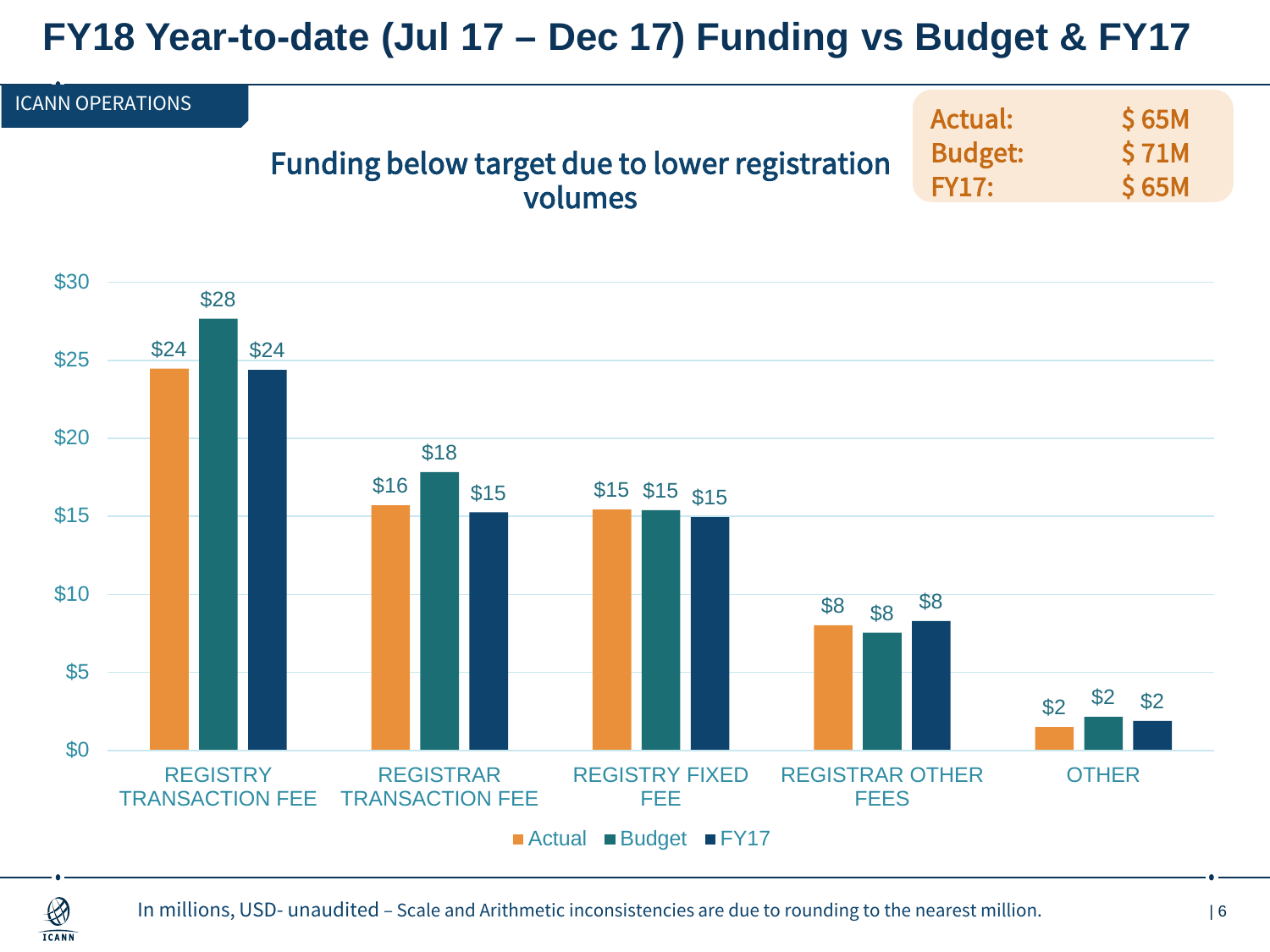## **FY18 Year-to-date (Jul 17 – Dec 17) Funding vs Budget & FY17**



■ Actual ■ Budget ■ FY17

 $\bigotimes$ **ICANN**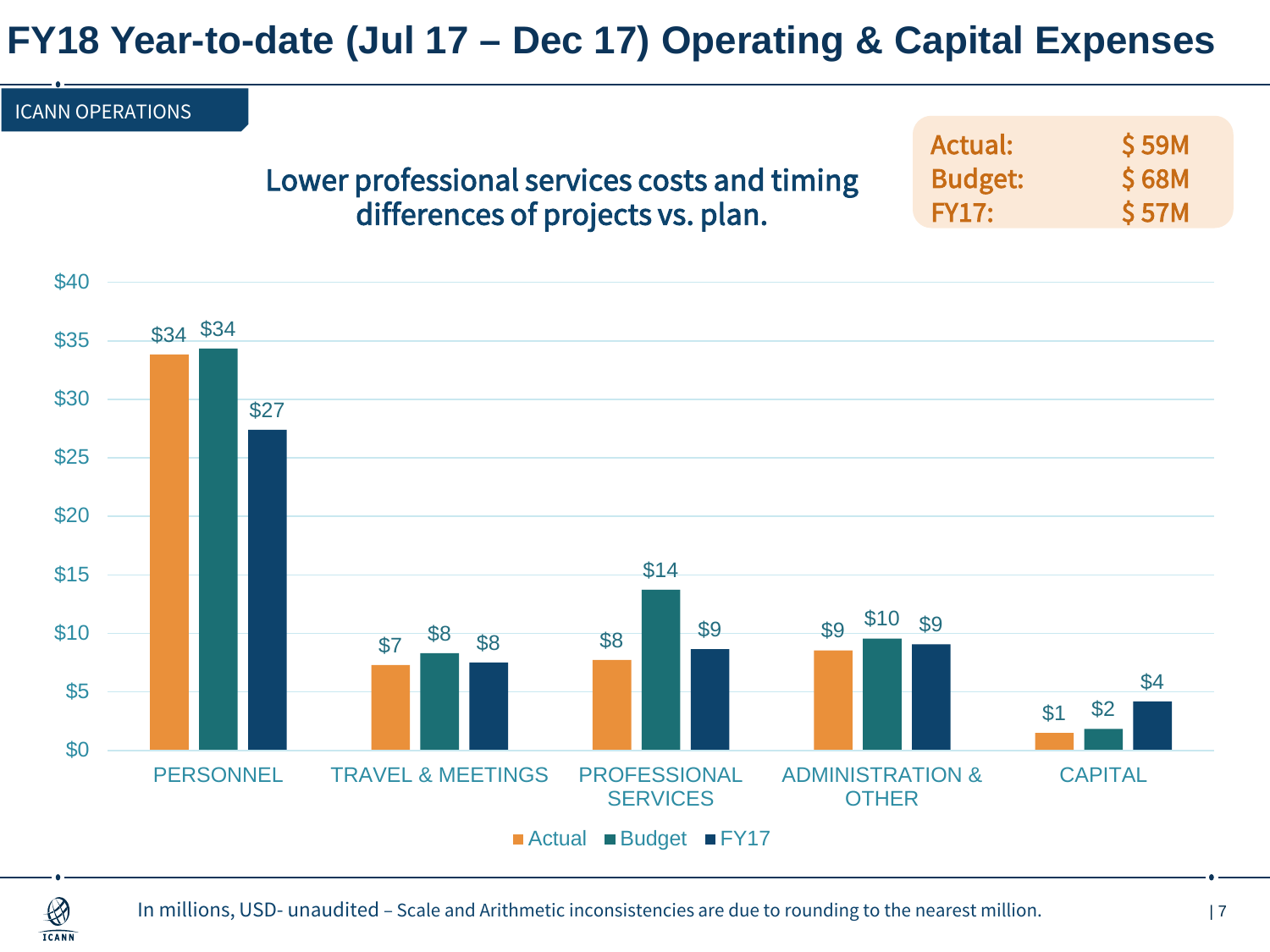## **FY18 Year-to-date (Jul 17 – Dec 17) Operating & Capital Expenses**

| <b>ICANN OPERATIONS</b> |                                              |                |              |
|-------------------------|----------------------------------------------|----------------|--------------|
|                         |                                              | Actual:        | <b>S 59M</b> |
|                         | Lower professional services costs and timing | <b>Budget:</b> | <b>S 68M</b> |
|                         | differences of projects vs. plan.            | FY17:          | <b>S57M</b>  |



 $\bigcircled{3}$ **ICANN**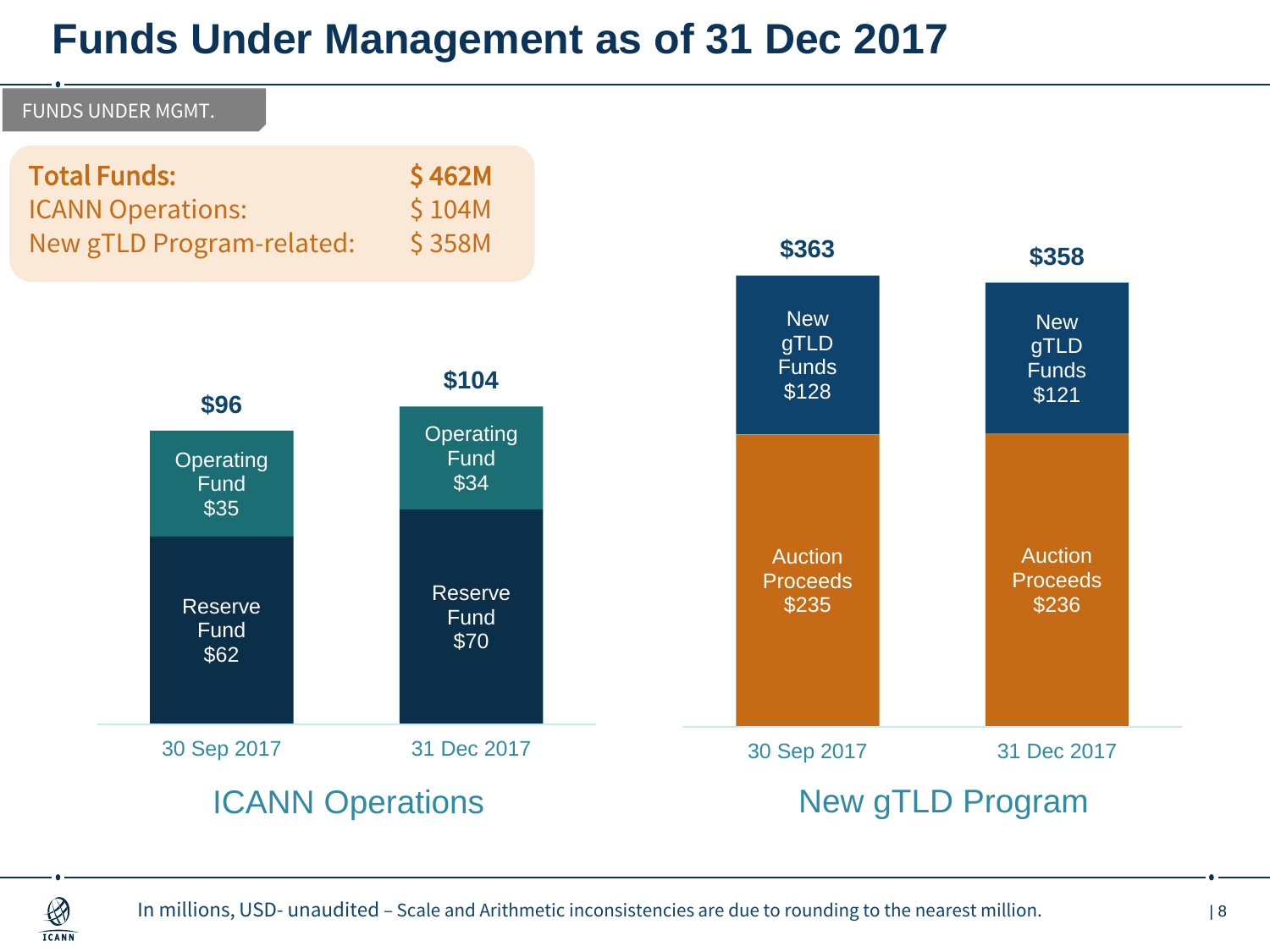## **Funds Under Management as of 31 Dec 2017**



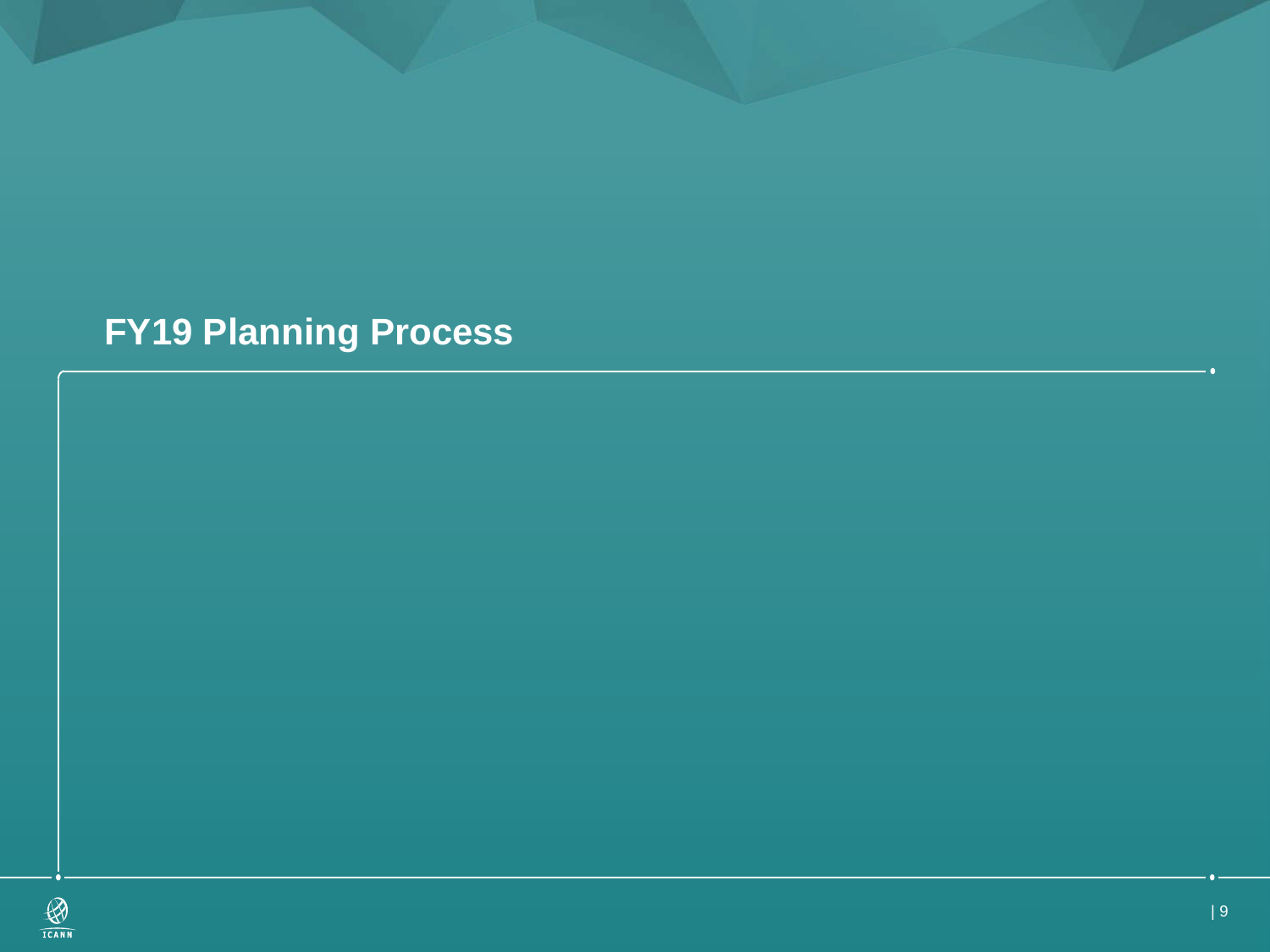## **FY19 Planning Process**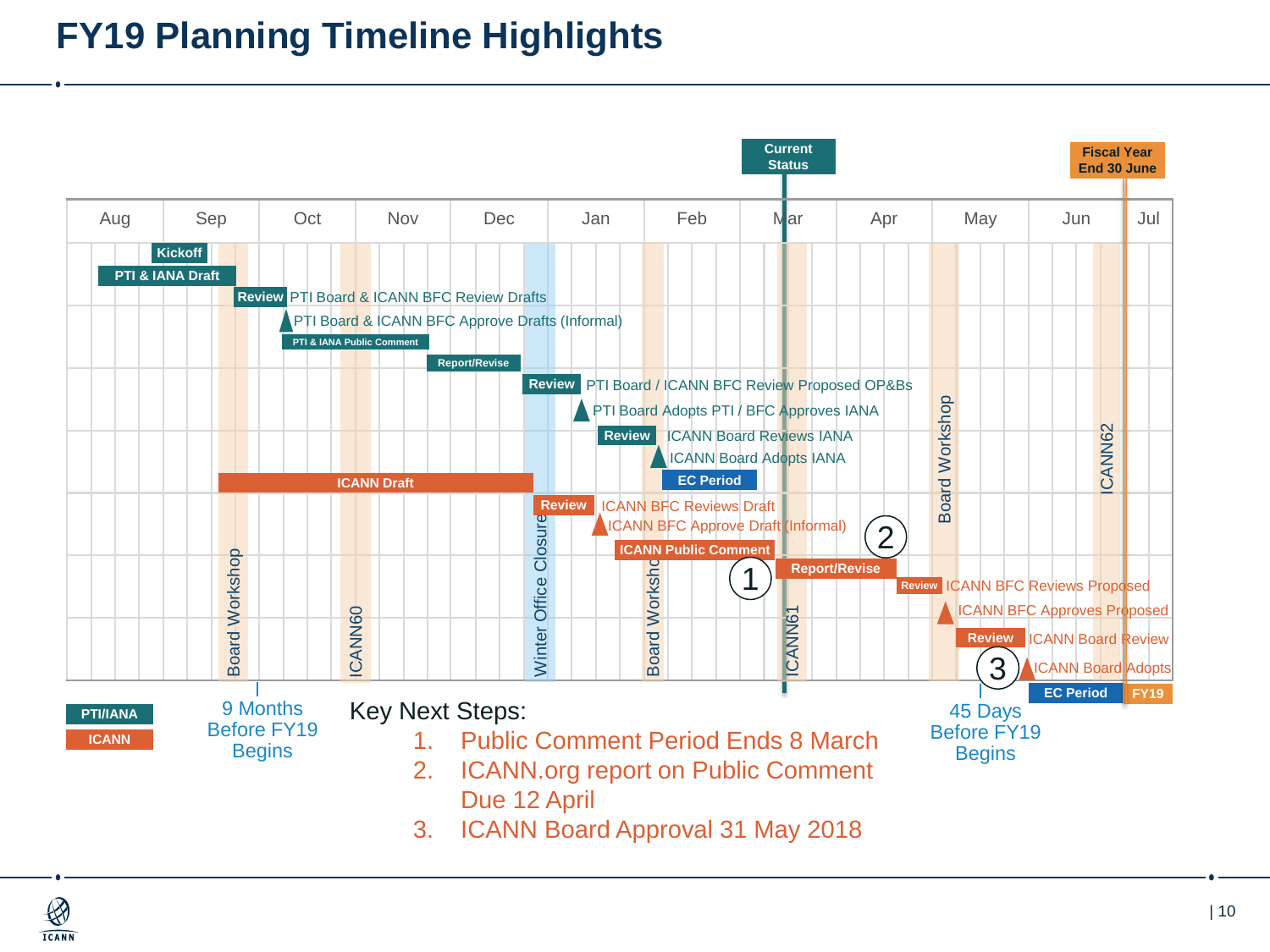## **FY19 Planning Timeline Highlights**

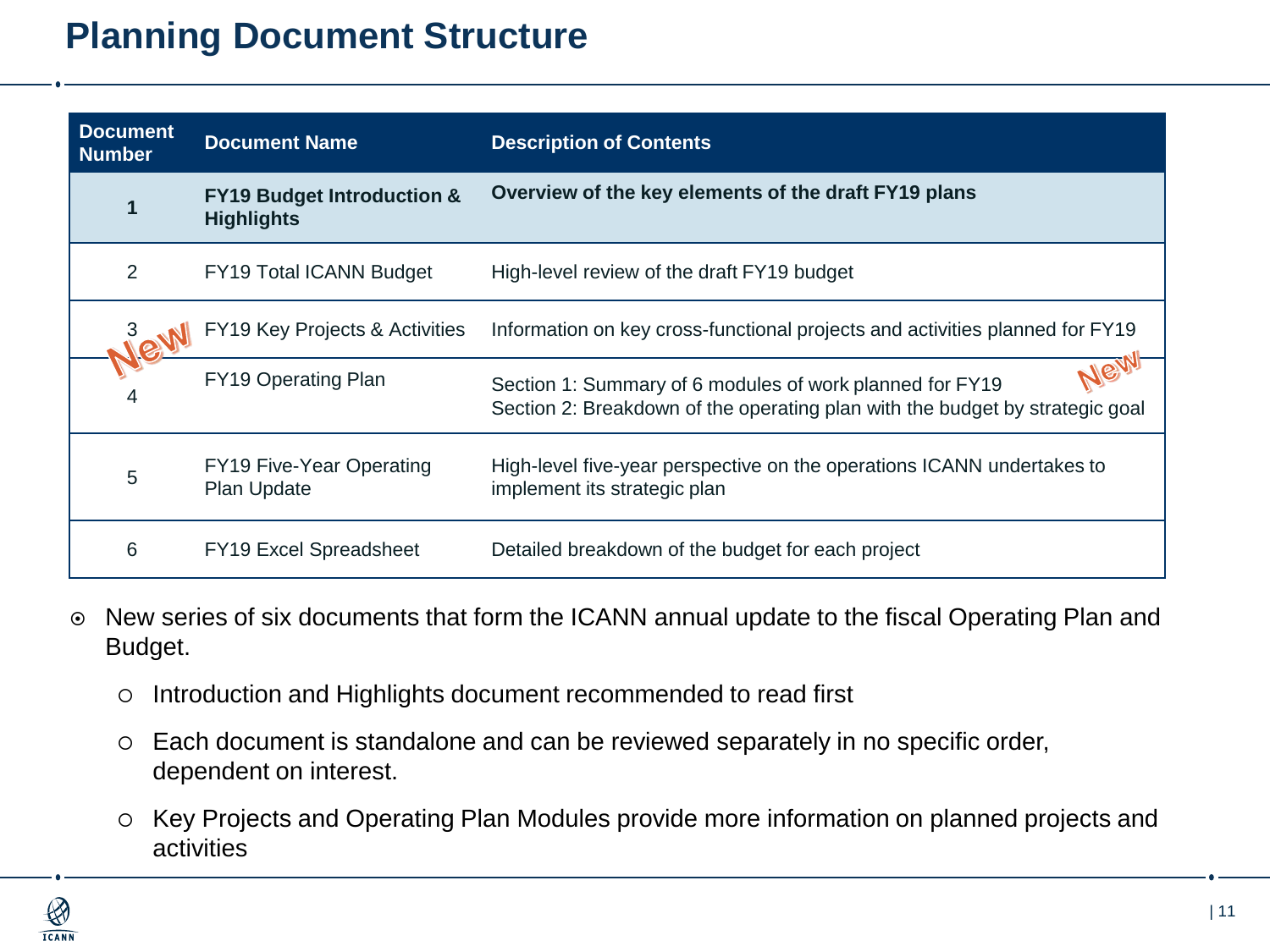### **Planning Document Structure**

| <b>Document</b><br><b>Number</b> | <b>Document Name</b>                                       | <b>Description of Contents</b>                                                                                                           |
|----------------------------------|------------------------------------------------------------|------------------------------------------------------------------------------------------------------------------------------------------|
|                                  | <b>FY19 Budget Introduction &amp;</b><br><b>Highlights</b> | Overview of the key elements of the draft FY19 plans                                                                                     |
| 2                                | <b>FY19 Total ICANN Budget</b>                             | High-level review of the draft FY19 budget                                                                                               |
| Jew                              | FY19 Key Projects & Activities                             | Information on key cross-functional projects and activities planned for FY19                                                             |
|                                  | FY19 Operating Plan                                        | Section 1: Summary of 6 modules of work planned for FY19<br>Section 2: Breakdown of the operating plan with the budget by strategic goal |
| 5                                | FY19 Five-Year Operating<br>Plan Update                    | High-level five-year perspective on the operations ICANN undertakes to<br>implement its strategic plan                                   |
| 6                                | <b>FY19 Excel Spreadsheet</b>                              | Detailed breakdown of the budget for each project                                                                                        |

- New series of six documents that form the ICANN annual update to the fiscal Operating Plan and Budget.
	- o Introduction and Highlights document recommended to read first
	- Each document is standalone and can be reviewed separately in no specific order, dependent on interest.
	- Key Projects and Operating Plan Modules provide more information on planned projects and activities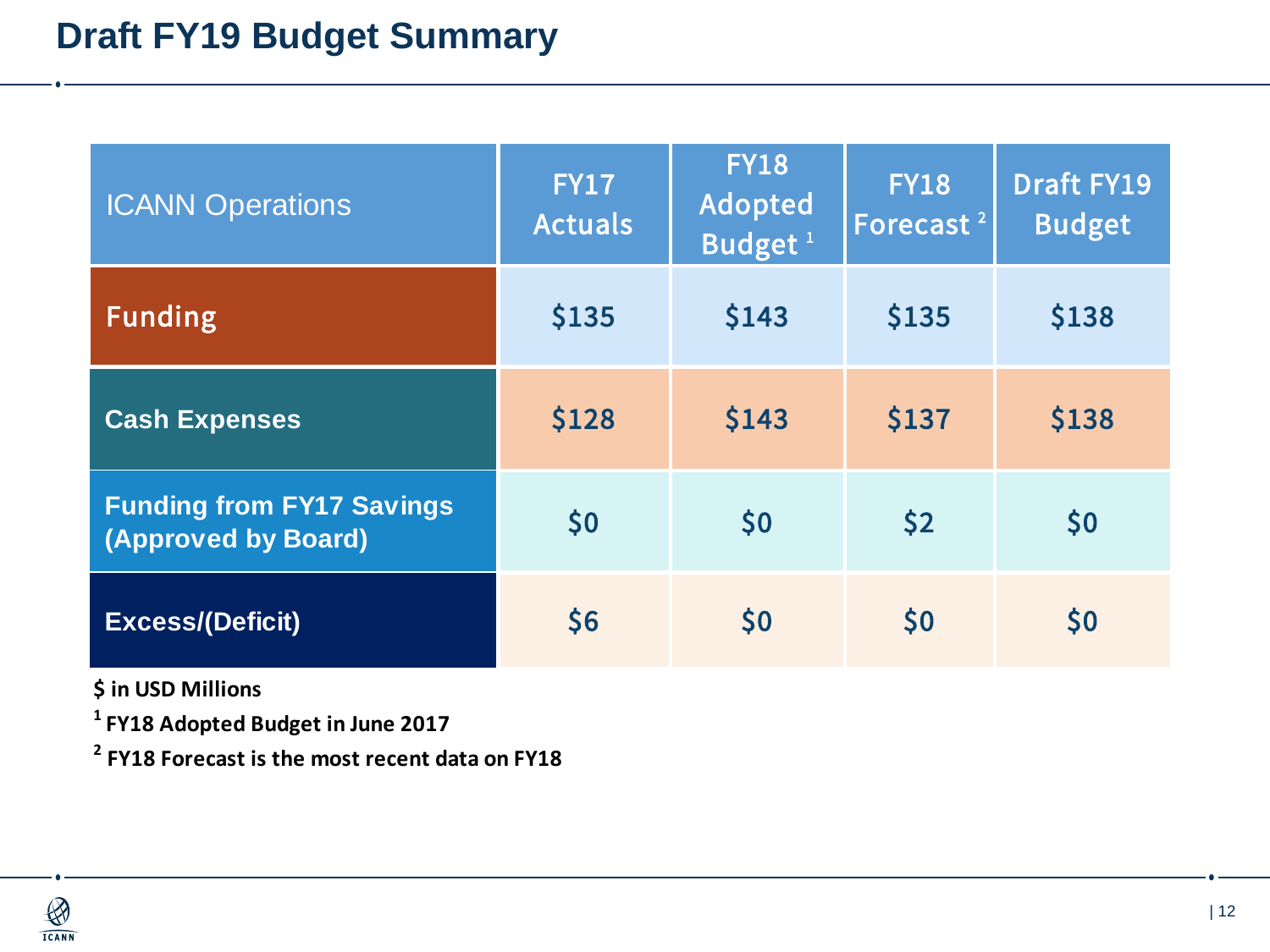| <b>ICANN Operations</b>                                 | <b>FY17</b><br><b>Actuals</b> | <b>FY18</b><br>Adopted<br>Budget <sup>1</sup> | <b>FY18</b><br>Forecast <sup>2</sup> | <b>Draft FY19</b><br><b>Budget</b> |
|---------------------------------------------------------|-------------------------------|-----------------------------------------------|--------------------------------------|------------------------------------|
| <b>Funding</b>                                          | \$135                         | \$143                                         | \$135                                | \$138                              |
| <b>Cash Expenses</b>                                    | \$128                         | \$143                                         | \$137                                | \$138                              |
| <b>Funding from FY17 Savings</b><br>(Approved by Board) | \$0                           | \$0                                           | $\sqrt{2}$                           | \$0                                |
| <b>Excess/(Deficit)</b>                                 | \$6                           | \$0                                           | \$0                                  | \$0                                |

**\$ in USD Millions**

**1 FY18 Adopted Budget in June 2017**

**2 FY18 Forecast is the most recent data on FY18**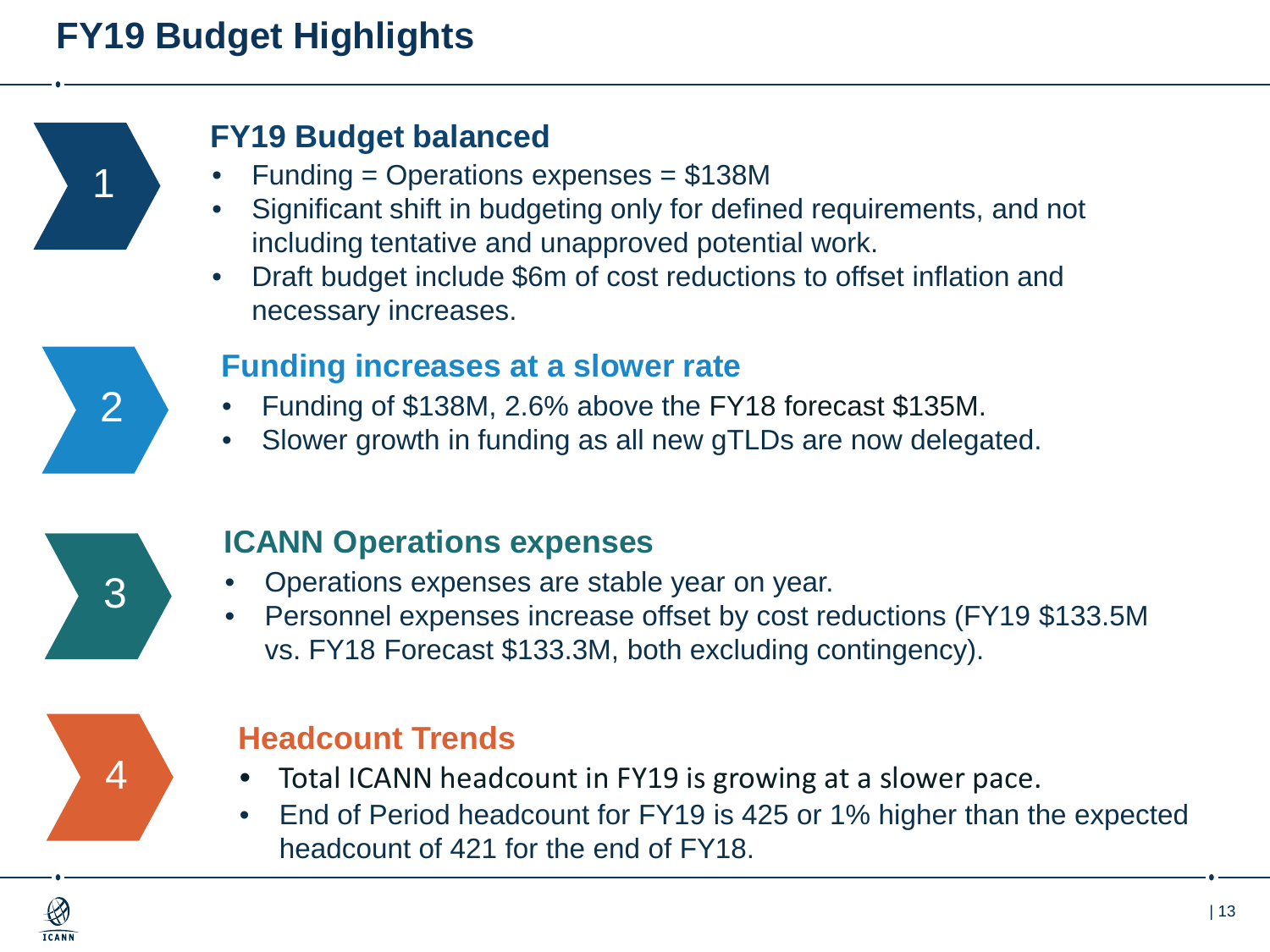## **FY19 Budget Highlights**



#### **FY19 Budget balanced**

- $Funding = Operations$  expenses = \$138M
- Significant shift in budgeting only for defined requirements, and not including tentative and unapproved potential work.
- Draft budget include \$6m of cost reductions to offset inflation and necessary increases.



#### **Funding increases at a slower rate**

- Funding of \$138M, 2.6% above the FY18 forecast \$135M.
- Slower growth in funding as all new gTLDs are now delegated.



#### **ICANN Operations expenses**

- Operations expenses are stable year on year.
- Personnel expenses increase offset by cost reductions (FY19 \$133.5M vs. FY18 Forecast \$133.3M, both excluding contingency).



#### **Headcount Trends**

- Total ICANN headcount in FY19 is growing at a slower pace.
- End of Period headcount for FY19 is 425 or 1% higher than the expected headcount of 421 for the end of FY18.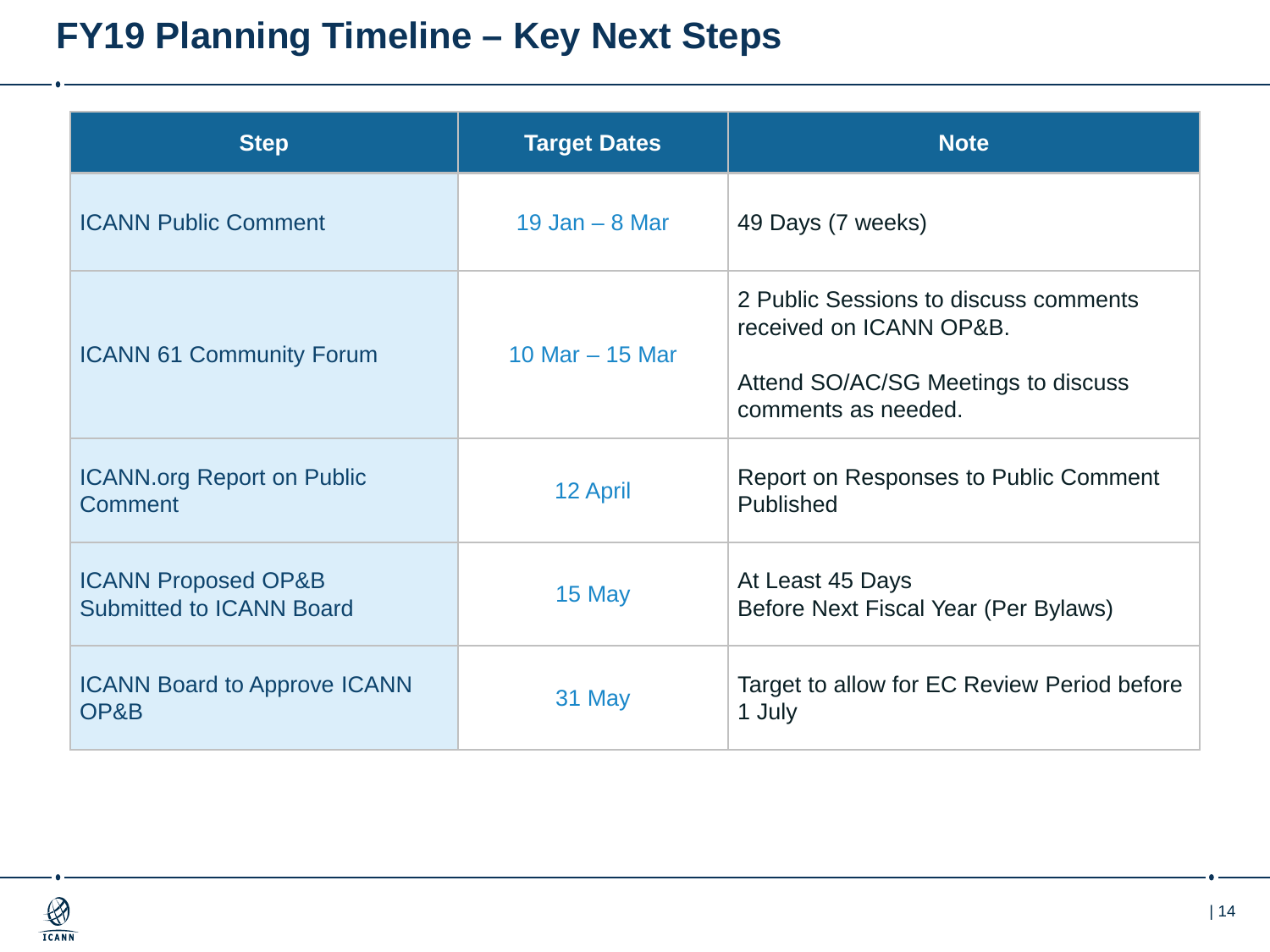## **FY19 Planning Timeline – Key Next Steps**

| <b>Step</b>                                                       | <b>Target Dates</b> | <b>Note</b>                                                                                                                    |  |
|-------------------------------------------------------------------|---------------------|--------------------------------------------------------------------------------------------------------------------------------|--|
| <b>ICANN Public Comment</b>                                       | 19 Jan $-$ 8 Mar    | 49 Days (7 weeks)                                                                                                              |  |
| <b>ICANN 61 Community Forum</b>                                   | 10 Mar $-$ 15 Mar   | 2 Public Sessions to discuss comments<br>received on ICANN OP&B.<br>Attend SO/AC/SG Meetings to discuss<br>comments as needed. |  |
| <b>ICANN.org Report on Public</b><br>Comment                      | 12 April            | Report on Responses to Public Comment<br><b>Published</b>                                                                      |  |
| <b>ICANN Proposed OP&amp;B</b><br><b>Submitted to ICANN Board</b> | 15 May              | At Least 45 Days<br>Before Next Fiscal Year (Per Bylaws)                                                                       |  |
| <b>ICANN Board to Approve ICANN</b><br>OP&B                       | 31 May              | Target to allow for EC Review Period before<br>1 July                                                                          |  |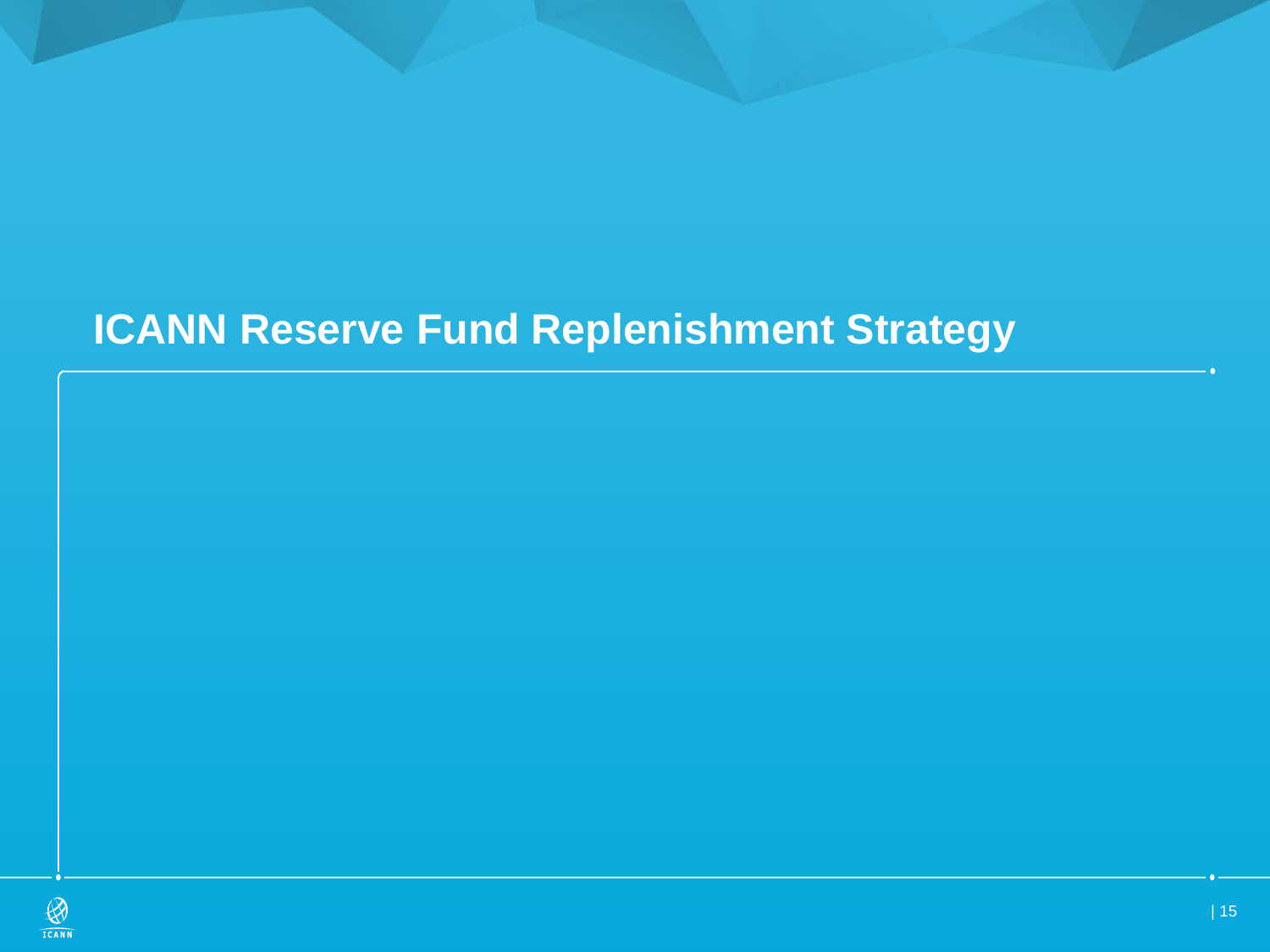## **ICANN Reserve Fund Replenishment Strategy**

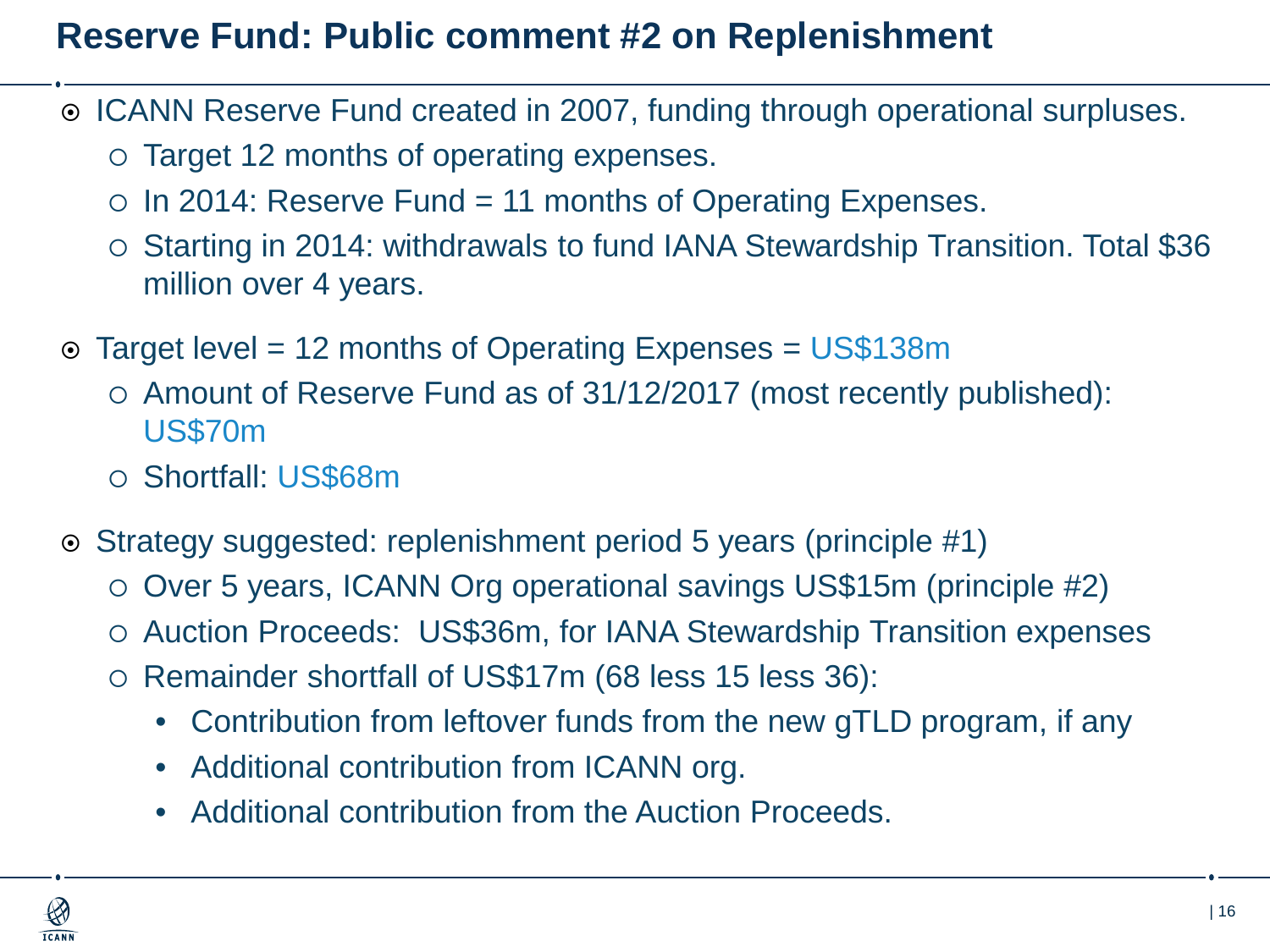### **Reserve Fund: Public comment #2 on Replenishment**

- ICANN Reserve Fund created in 2007, funding through operational surpluses.
	- Target 12 months of operating expenses.
	- $\circ$  In 2014: Reserve Fund = 11 months of Operating Expenses.
	- Starting in 2014: withdrawals to fund IANA Stewardship Transition. Total \$36 million over 4 years.
- Target level = 12 months of Operating Expenses = US\$138m
	- $\circ$  Amount of Reserve Fund as of 31/12/2017 (most recently published): US\$70m
	- Shortfall: US\$68m
- Strategy suggested: replenishment period 5 years (principle #1)
	- Over 5 years, ICANN Org operational savings US\$15m (principle #2)
	- Auction Proceeds: US\$36m, for IANA Stewardship Transition expenses
	- o Remainder shortfall of US\$17m (68 less 15 less 36):
		- Contribution from leftover funds from the new gTLD program, if any
		- Additional contribution from ICANN org.
		- Additional contribution from the Auction Proceeds.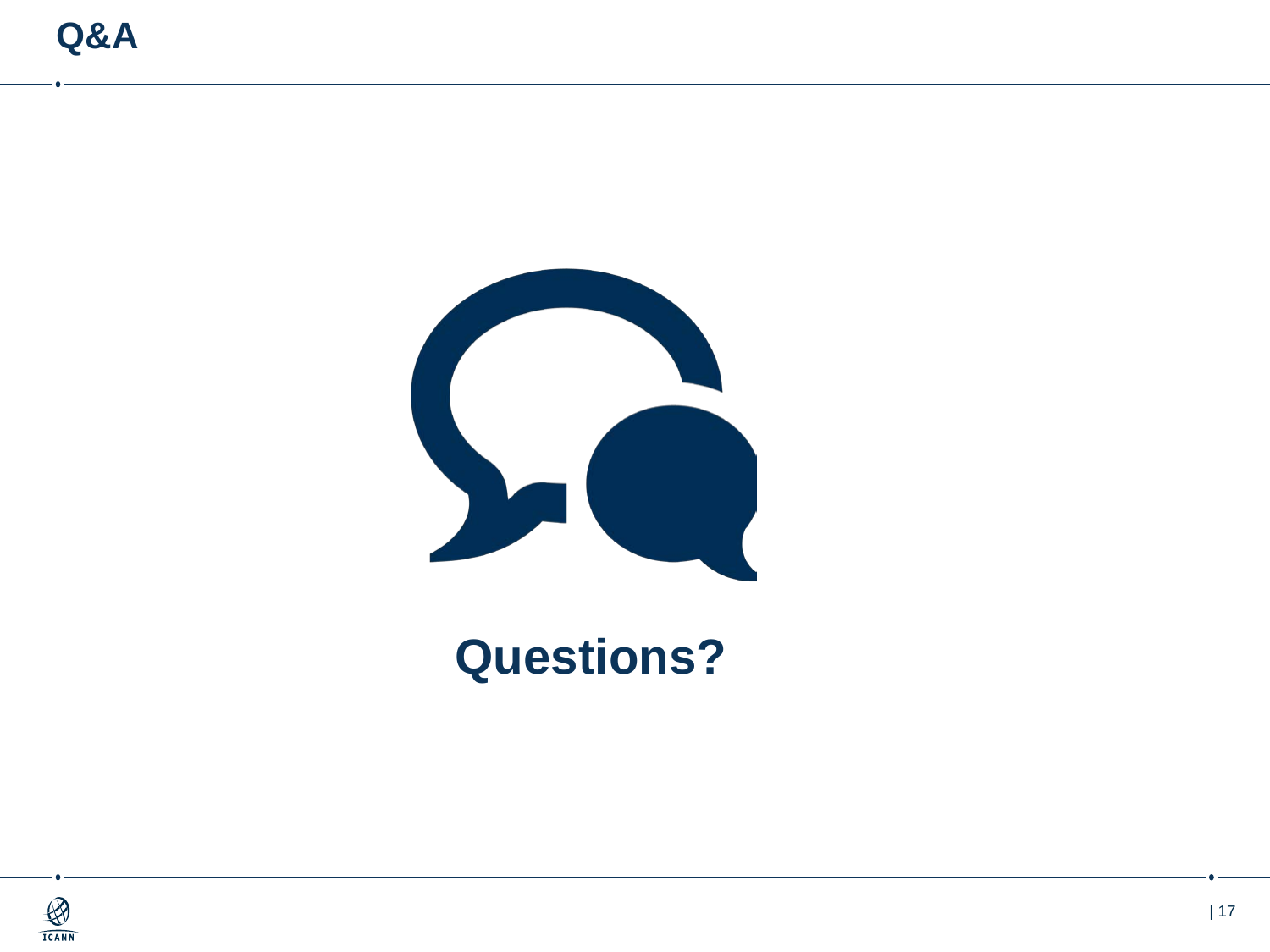

## **Questions?**

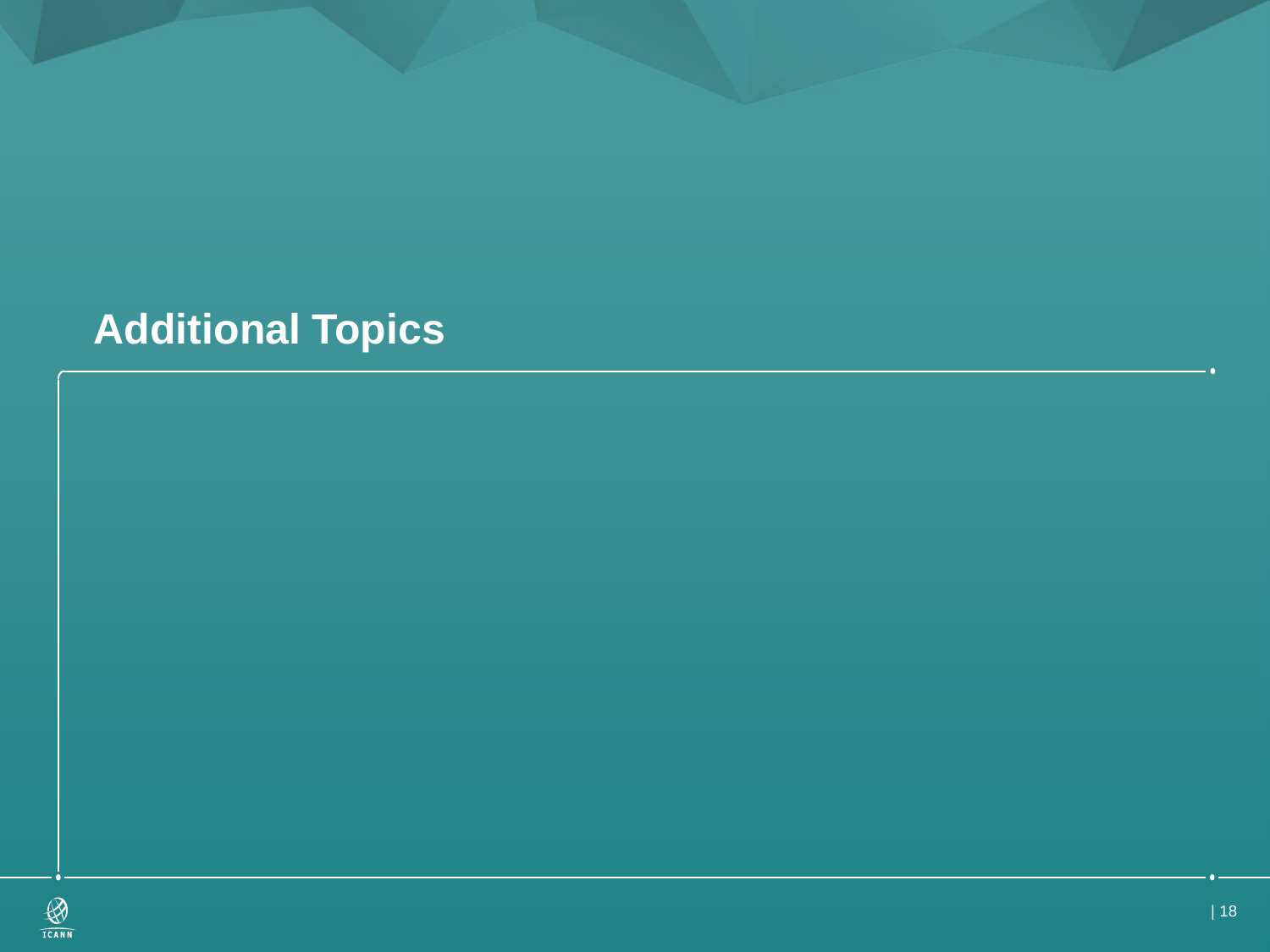## **Additional Topics**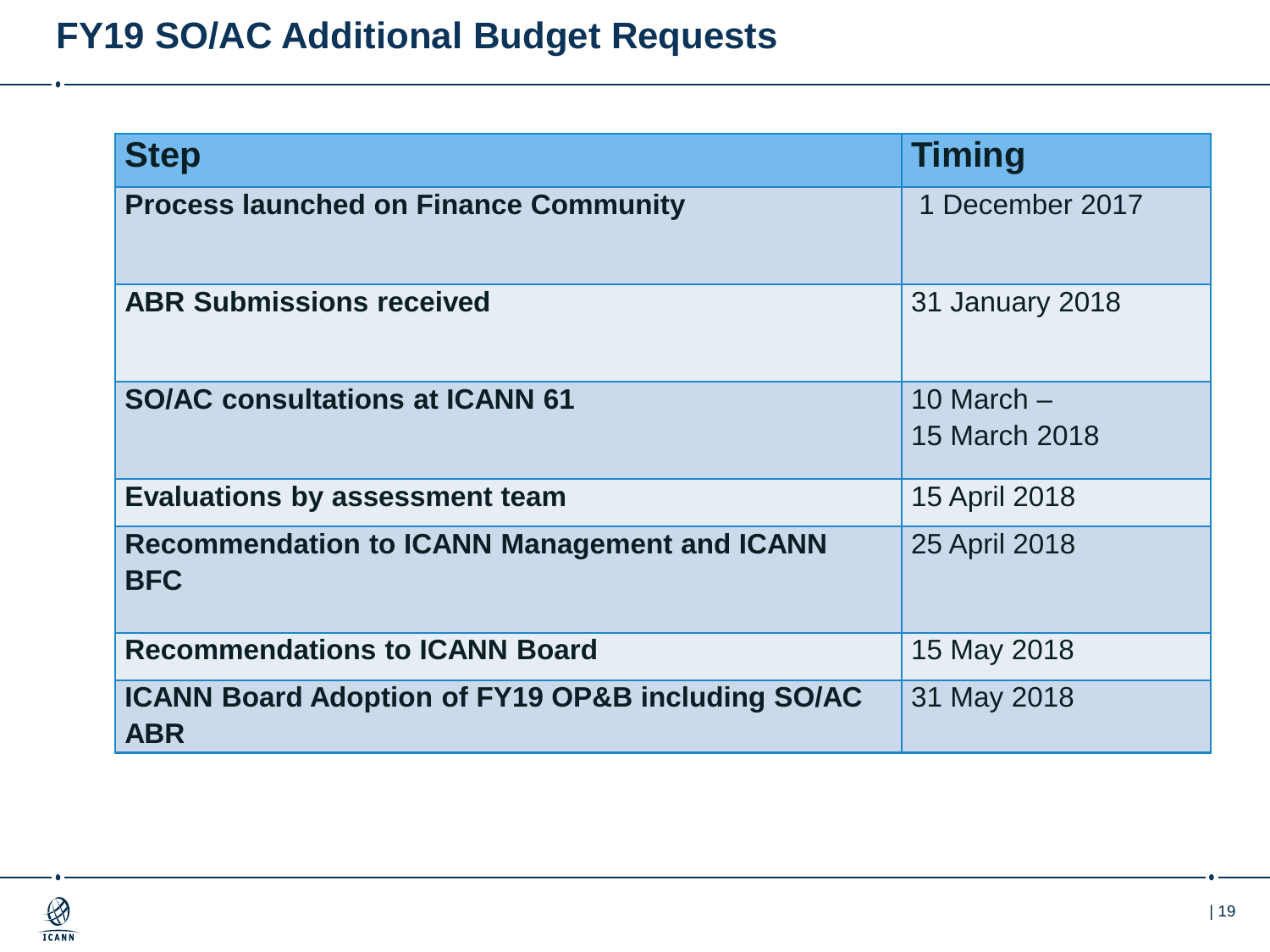### **FY19 SO/AC Additional Budget Requests**

| <b>Step</b>                                                                | <b>Timing</b>                 |
|----------------------------------------------------------------------------|-------------------------------|
| <b>Process launched on Finance Community</b>                               | 1 December 2017               |
| <b>ABR Submissions received</b>                                            | 31 January 2018               |
| <b>SO/AC consultations at ICANN 61</b>                                     | 10 March $-$<br>15 March 2018 |
| <b>Evaluations by assessment team</b>                                      | 15 April 2018                 |
| <b>Recommendation to ICANN Management and ICANN</b><br><b>BFC</b>          | 25 April 2018                 |
| <b>Recommendations to ICANN Board</b>                                      | 15 May 2018                   |
| <b>ICANN Board Adoption of FY19 OP&amp;B including SO/AC</b><br><b>ABR</b> | 31 May 2018                   |